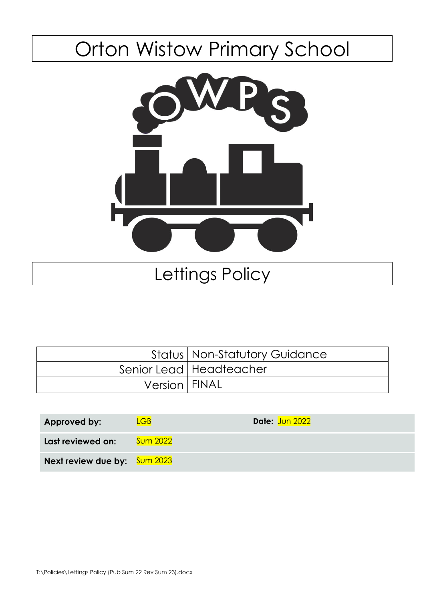# Orton Wistow Primary School



## Lettings Policy

|                 | <b>Status   Non-Statutory Guidance</b> |
|-----------------|----------------------------------------|
|                 | Senior Lead   Headteacher              |
| Version   FINAL |                                        |

| Approved by:                        | $\angle GB$     | Date: Jun 2022 |
|-------------------------------------|-----------------|----------------|
| Last reviewed on:                   | <b>Sum 2022</b> |                |
| <b>Next review due by:</b> Sum 2023 |                 |                |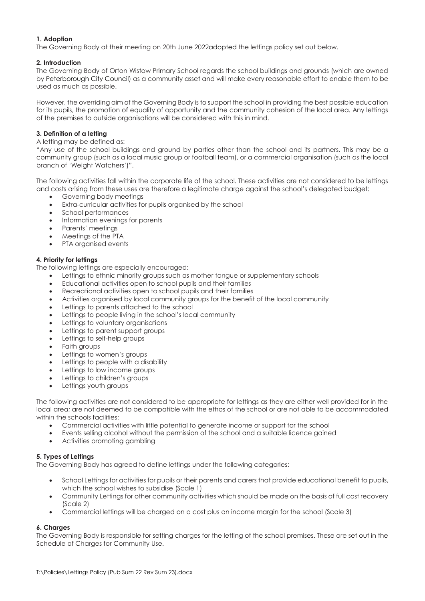#### **1. Adoption**

The Governing Body at their meeting on 20th June 2022adopted the lettings policy set out below.

#### **2. Introduction**

The Governing Body of Orton Wistow Primary School regards the school buildings and grounds (which are owned by Peterborough City Council) as a community asset and will make every reasonable effort to enable them to be used as much as possible.

However, the overriding aim of the Governing Body is to support the school in providing the best possible education for its pupils, the promotion of equality of opportunity and the community cohesion of the local area. Any lettings of the premises to outside organisations will be considered with this in mind.

#### **3. Definition of a letting**

#### A letting may be defined as:

"Any use of the school buildings and ground by parties other than the school and its partners. This may be a community group (such as a local music group or football team), or a commercial organisation (such as the local branch of 'Weight Watchers')".

The following activities fall within the corporate life of the school. These activities are not considered to be lettings and costs arising from these uses are therefore a legitimate charge against the school's delegated budget:

- Governing body meetings
- Extra-curricular activities for pupils organised by the school
- School performances
- Information evenings for parents
- Parents' meetings
- Meetings of the PTA
- PTA organised events

#### **4. Priority for lettings**

The following lettings are especially encouraged:

- Lettings to ethnic minority groups such as mother tongue or supplementary schools
- Educational activities open to school pupils and their families
- Recreational activities open to school pupils and their families
- Activities organised by local community groups for the benefit of the local community
- Lettings to parents attached to the school
- Lettings to people living in the school's local community
- Lettings to voluntary organisations
- Lettings to parent support groups
- Lettings to self-help groups
- Faith groups
- Lettings to women's groups
- Lettings to people with a disability
- Lettings to low income groups
- Lettings to children's groups
- Lettings youth groups

The following activities are not considered to be appropriate for lettings as they are either well provided for in the local area; are not deemed to be compatible with the ethos of the school or are not able to be accommodated within the schools facilities:

- Commercial activities with little potential to generate income or support for the school
- Events selling alcohol without the permission of the school and a suitable licence gained
- Activities promoting gambling

#### **5. Types of Lettings**

The Governing Body has agreed to define lettings under the following categories:

- School Lettings for activities for pupils or their parents and carers that provide educational benefit to pupils, which the school wishes to subsidise (Scale 1)
- Community Lettings for other community activities which should be made on the basis of full cost recovery (Scale 2)
- Commercial lettings will be charged on a cost plus an income margin for the school (Scale 3)

#### **6. Charges**

The Governing Body is responsible for setting charges for the letting of the school premises. These are set out in the Schedule of Charges for Community Use.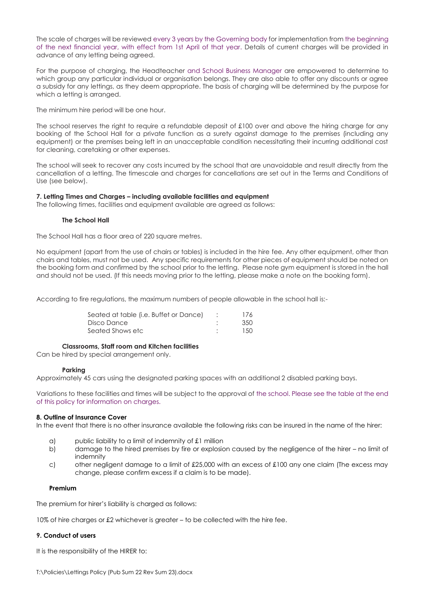The scale of charges will be reviewed every 3 years by the Governing body for implementation from the beginning of the next financial year, with effect from 1st April of that year. Details of current charges will be provided in advance of any letting being agreed.

For the purpose of charging, the Headteacher and School Business Manager are empowered to determine to which group any particular individual or organisation belongs. They are also able to offer any discounts or agree a subsidy for any lettings, as they deem appropriate. The basis of charging will be determined by the purpose for which a letting is arranged.

The minimum hire period will be one hour.

The school reserves the right to require a refundable deposit of £100 over and above the hiring charge for any booking of the School Hall for a private function as a surety against damage to the premises (including any equipment) or the premises being left in an unacceptable condition necessitating their incurring additional cost for cleaning, caretaking or other expenses.

The school will seek to recover any costs incurred by the school that are unavoidable and result directly from the cancellation of a letting. The timescale and charges for cancellations are set out in the Terms and Conditions of Use (see below).

#### **7. Letting Times and Charges – including available facilities and equipment**

The following times, facilities and equipment available are agreed as follows:

#### **The School Hall**

The School Hall has a floor area of 220 square metres.

No equipment (apart from the use of chairs or tables) is included in the hire fee. Any other equipment, other than chairs and tables, must not be used. Any specific requirements for other pieces of equipment should be noted on the booking form and confirmed by the school prior to the letting. Please note gym equipment is stored in the hall and should not be used. (If this needs moving prior to the letting, please make a note on the booking form).

According to fire regulations, the maximum numbers of people allowable in the school hall is:-

| Seated at table (i.e. Buffet or Dance) | 176  |
|----------------------------------------|------|
| Disco Dance                            | -350 |
| Seated Shows etc                       | 150  |

#### **Classrooms, Staff room and Kitchen facilities**

Can be hired by special arrangement only.

#### **Parking**

Approximately 45 cars using the designated parking spaces with an additional 2 disabled parking bays.

Variations to these facilities and times will be subject to the approval of the school. Please see the table at the end of this policy for information on charges.

#### **8. Outline of Insurance Cover**

In the event that there is no other insurance available the following risks can be insured in the name of the hirer:

- a) public liability to a limit of indemnity of £1 million
- b) damage to the hired premises by fire or explosion caused by the negligence of the hirer no limit of indemnity
- c) other negligent damage to a limit of £25,000 with an excess of £100 any one claim (The excess may change, please confirm excess if a claim is to be made).

#### **Premium**

The premium for hirer's liability is charged as follows:

10% of hire charges or £2 whichever is greater – to be collected with the hire fee.

#### **9. Conduct of users**

It is the responsibility of the HIRER to: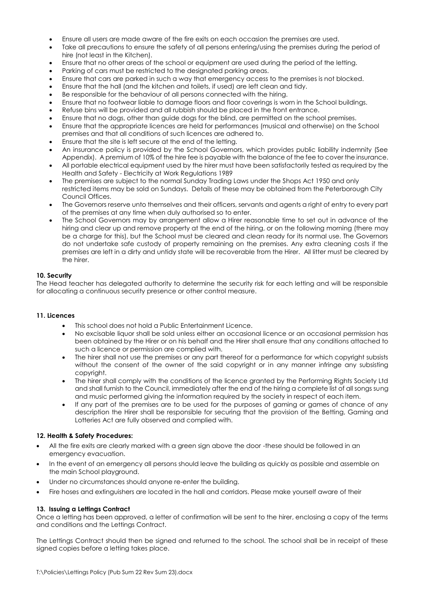- Ensure all users are made aware of the fire exits on each occasion the premises are used.
- Take all precautions to ensure the safety of all persons entering/using the premises during the period of hire (not least in the Kitchen).
- Ensure that no other areas of the school or equipment are used during the period of the letting.
- Parking of cars must be restricted to the designated parking areas.
- Ensure that cars are parked in such a way that emergency access to the premises is not blocked.
- Ensure that the hall (and the kitchen and toilets, if used) are left clean and tidy.
- Be responsible for the behaviour of all persons connected with the hiring.
- Ensure that no footwear liable to damage floors and floor coverings is worn in the School buildings.
- Refuse bins will be provided and all rubbish should be placed in the front entrance.
- Ensure that no dogs, other than guide dogs for the blind, are permitted on the school premises.
- Ensure that the appropriate licences are held for performances (musical and otherwise) on the School premises and that all conditions of such licences are adhered to.
- Ensure that the site is left secure at the end of the letting.
- An insurance policy is provided by the School Governors, which provides public liability indemnity (See Appendix). A premium of 10% of the hire fee is payable with the balance of the fee to cover the insurance.
- All portable electrical equipment used by the hirer must have been satisfactorily tested as required by the Health and Safety - Electricity at Work Regulations 1989
- The premises are subject to the normal Sunday Trading Laws under the Shops Act 1950 and only restricted items may be sold on Sundays. Details of these may be obtained from the Peterborough City Council Offices.
- The Governors reserve unto themselves and their officers, servants and agents a right of entry to every part of the premises at any time when duly authorised so to enter.
- The School Governors may by arrangement allow a Hirer reasonable time to set out in advance of the hiring and clear up and remove property at the end of the hiring, or on the following morning (there may be a charge for this), but the School must be cleared and clean ready for its normal use. The Governors do not undertake safe custody of property remaining on the premises. Any extra cleaning costs if the premises are left in a dirty and untidy state will be recoverable from the Hirer. All litter must be cleared by the hirer.

#### **10. Security**

The Head teacher has delegated authority to determine the security risk for each letting and will be responsible for allocating a continuous security presence or other control measure.

#### **11. Licences**

- This school does not hold a Public Entertainment Licence.
- No excisable liquor shall be sold unless either an occasional licence or an occasional permission has been obtained by the Hirer or on his behalf and the Hirer shall ensure that any conditions attached to such a licence or permission are complied with.
- The hirer shall not use the premises or any part thereof for a performance for which copyright subsists without the consent of the owner of the said copyright or in any manner infringe any subsisting copyright.
- The hirer shall comply with the conditions of the licence granted by the Performing Rights Society Ltd and shall furnish to the Council, immediately after the end of the hiring a complete list of all songs sung and music performed giving the information required by the society in respect of each item.
- If any part of the premises are to be used for the purposes of gaming or games of chance of any description the Hirer shall be responsible for securing that the provision of the Betting, Gaming and Lotteries Act are fully observed and complied with.

#### **12. Health & Safety Procedures:**

- All the fire exits are clearly marked with a green sign above the door -these should be followed in an emergency evacuation.
- In the event of an emergency all persons should leave the building as quickly as possible and assemble on the main School playground.
- Under no circumstances should anyone re-enter the building.
- Fire hoses and extinguishers are located in the hall and corridors. Please make yourself aware of their

#### **13. Issuing a Lettings Contract**

Once a letting has been approved, a letter of confirmation will be sent to the hirer, enclosing a copy of the terms and conditions and the Lettings Contract.

The Lettings Contract should then be signed and returned to the school. The school shall be in receipt of these signed copies before a letting takes place.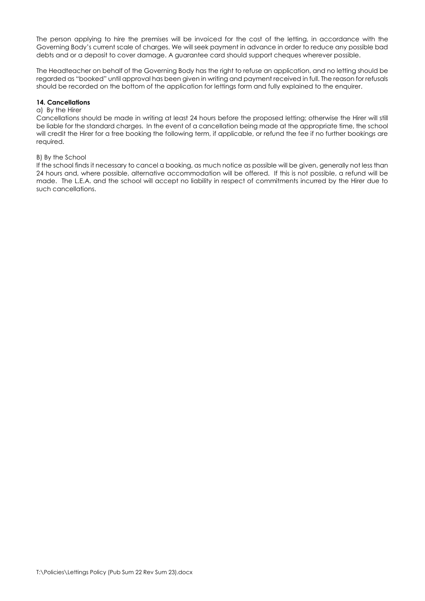The person applying to hire the premises will be invoiced for the cost of the letting, in accordance with the Governing Body's current scale of charges. We will seek payment in advance in order to reduce any possible bad debts and or a deposit to cover damage. A guarantee card should support cheques wherever possible.

The Headteacher on behalf of the Governing Body has the right to refuse an application, and no letting should be regarded as "booked" until approval has been given in writing and payment received in full. The reason for refusals should be recorded on the bottom of the application for lettings form and fully explained to the enquirer.

#### **14. Cancellations**

#### a) By the Hirer

Cancellations should be made in writing at least 24 hours before the proposed letting; otherwise the Hirer will still be liable for the standard charges. In the event of a cancellation being made at the appropriate time, the school will credit the Hirer for a free booking the following term, if applicable, or refund the fee if no further bookings are required.

#### B) By the School

If the school finds it necessary to cancel a booking, as much notice as possible will be given, generally not less than 24 hours and, where possible, alternative accommodation will be offered. If this is not possible, a refund will be made. The L.E.A. and the school will accept no liability in respect of commitments incurred by the Hirer due to such cancellations.